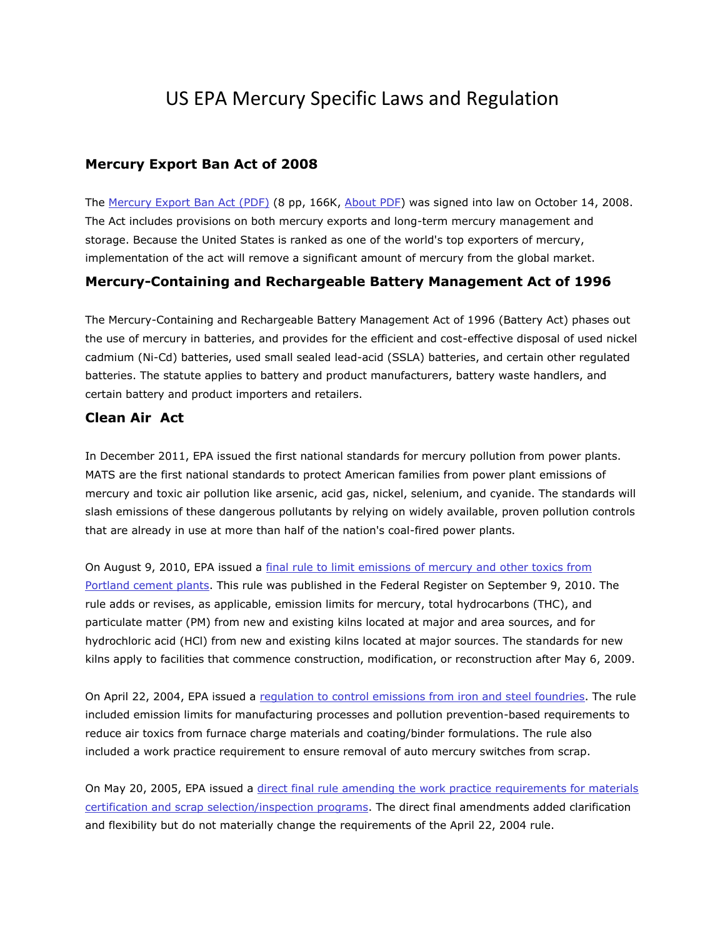# US EPA Mercury Specific Laws and Regulation

#### **Mercury Export Ban Act of 2008**

The [Mercury Export Ban Act \(PDF\)](http://frwebgate.access.gpo.gov/cgi-bin/getdoc.cgi?dbname=110_cong_public_laws&docid=f:publ414.110.pdf) (8 pp, 166K, [About PDF\)](http://www.epa.gov/epahome/pdf.html) was signed into law on October 14, 2008. The Act includes provisions on both mercury exports and long-term mercury management and storage. Because the United States is ranked as one of the world's top exporters of mercury, implementation of the act will remove a significant amount of mercury from the global market.

### **Mercury-Containing and Rechargeable Battery Management Act of 1996**

The Mercury-Containing and Rechargeable Battery Management Act of 1996 (Battery Act) phases out the use of mercury in batteries, and provides for the efficient and cost-effective disposal of used nickel cadmium (Ni-Cd) batteries, used small sealed lead-acid (SSLA) batteries, and certain other regulated batteries. The statute applies to battery and product manufacturers, battery waste handlers, and certain battery and product importers and retailers.

### **Clean Air Act**

In December 2011, EPA issued the first national standards for mercury pollution from power plants. MATS are the first national standards to protect American families from power plant emissions of mercury and toxic air pollution like arsenic, acid gas, nickel, selenium, and cyanide. The standards will slash emissions of these dangerous pollutants by relying on widely available, proven pollution controls that are already in use at more than half of the nation's coal-fired power plants.

On August 9, 2010, EPA issued a [final rule to limit emissions of mercury and other toxics from](http://www.federalregister.gov/articles/2010/09/09/2010-21102/national-emission-standards-for-hazardous-air-pollutants-from-the-portland-cement-manufacturing)  [Portland cement plants.](http://www.federalregister.gov/articles/2010/09/09/2010-21102/national-emission-standards-for-hazardous-air-pollutants-from-the-portland-cement-manufacturing) This rule was published in the Federal Register on September 9, 2010. The rule adds or revises, as applicable, emission limits for mercury, total hydrocarbons (THC), and particulate matter (PM) from new and existing kilns located at major and area sources, and for hydrochloric acid (HCl) from new and existing kilns located at major sources. The standards for new kilns apply to facilities that commence construction, modification, or reconstruction after May 6, 2009.

On April 22, 2004, EPA issued a requlation to control emissions from iron and steel foundries. The rule included emission limits for manufacturing processes and pollution prevention-based requirements to reduce air toxics from furnace charge materials and coating/binder formulations. The rule also included a work practice requirement to ensure removal of auto mercury switches from scrap.

On May 20, 2005, EPA issued a [direct final rule amending the work practice requirements for materials](http://www.gpo.gov/fdsys/pkg/FR-2008-01-02/pdf/E7-24836.pdf)  [certification and scrap selection/inspection programs.](http://www.gpo.gov/fdsys/pkg/FR-2008-01-02/pdf/E7-24836.pdf) The direct final amendments added clarification and flexibility but do not materially change the requirements of the April 22, 2004 rule.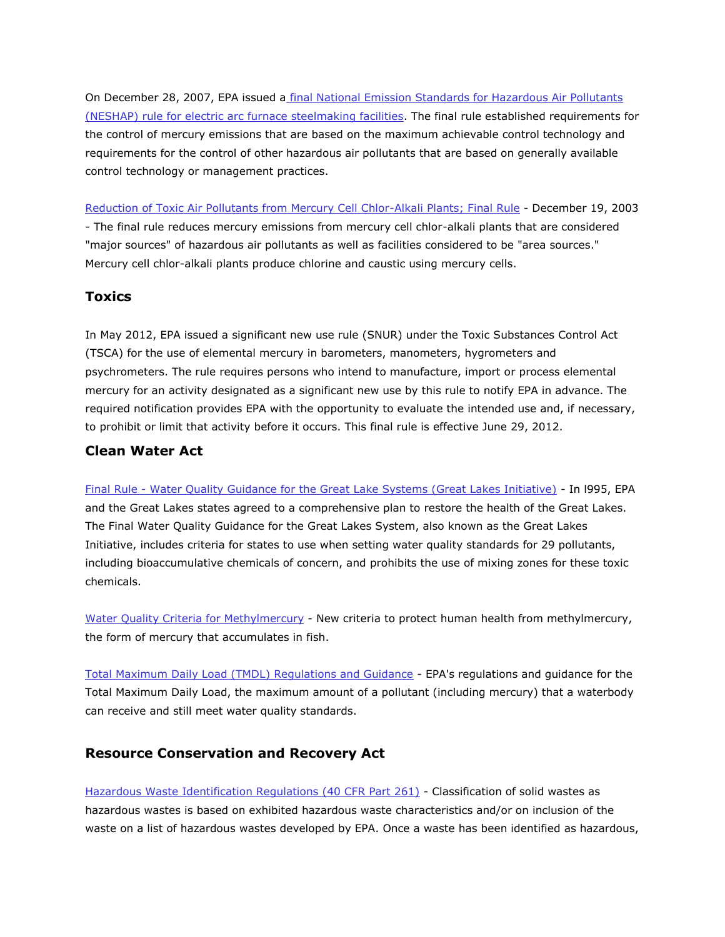On December 28, 2007, EPA issued a [final National Emission Standards for Hazardous Air Pollutants](http://www.gpo.gov/fdsys/pkg/FR-2007-09-20/pdf/E7-18343.pdf)  [\(NESHAP\) rule for electric arc furnace steelmaking facilities.](http://www.gpo.gov/fdsys/pkg/FR-2007-09-20/pdf/E7-18343.pdf) The final rule established requirements for the control of mercury emissions that are based on the maximum achievable control technology and requirements for the control of other hazardous air pollutants that are based on generally available control technology or management practices.

[Reduction of Toxic Air Pollutants from Mercury Cell Chlor-Alkali Plants; Final Rule](http://www.epa.gov/ttn/atw/hgcellcl/hgcellclpg.html) - December 19, 2003 - The final rule reduces mercury emissions from mercury cell chlor-alkali plants that are considered "major sources" of hazardous air pollutants as well as facilities considered to be "area sources." Mercury cell chlor-alkali plants produce chlorine and caustic using mercury cells.

## **Toxics**

In May 2012, EPA issued a significant new use rule (SNUR) under the Toxic Substances Control Act (TSCA) for the use of elemental mercury in barometers, manometers, hygrometers and psychrometers. The rule requires persons who intend to manufacture, import or process elemental mercury for an activity designated as a significant new use by this rule to notify EPA in advance. The required notification provides EPA with the opportunity to evaluate the intended use and, if necessary, to prohibit or limit that activity before it occurs. This final rule is effective June 29, 2012.

## **Clean Water Act**

Final Rule - [Water Quality Guidance for the Great Lake Systems \(Great Lakes Initiative\)](http://www.epa.gov/waterscience/gli/mixingzones/) - In l995, EPA and the Great Lakes states agreed to a comprehensive plan to restore the health of the Great Lakes. The Final Water Quality Guidance for the Great Lakes System, also known as the Great Lakes Initiative, includes criteria for states to use when setting water quality standards for 29 pollutants, including bioaccumulative chemicals of concern, and prohibits the use of mixing zones for these toxic chemicals.

[Water Quality Criteria for Methylmercury](http://www.epa.gov/ost/criteria/methylmercury/) - New criteria to protect human health from methylmercury, the form of mercury that accumulates in fish.

[Total Maximum Daily Load \(TMDL\) Regulations and Guidance](http://www.epa.gov/owow/tmdl/policy.html) - EPA's regulations and guidance for the Total Maximum Daily Load, the maximum amount of a pollutant (including mercury) that a waterbody can receive and still meet water quality standards.

### **Resource Conservation and Recovery Act**

[Hazardous Waste Identification Regulations \(40 CFR Part 261\)](http://www.epa.gov/osw/hazard/tsd/mercury/regs.htm#hazwaste) - Classification of solid wastes as hazardous wastes is based on exhibited hazardous waste characteristics and/or on inclusion of the waste on a list of hazardous wastes developed by EPA. Once a waste has been identified as hazardous,